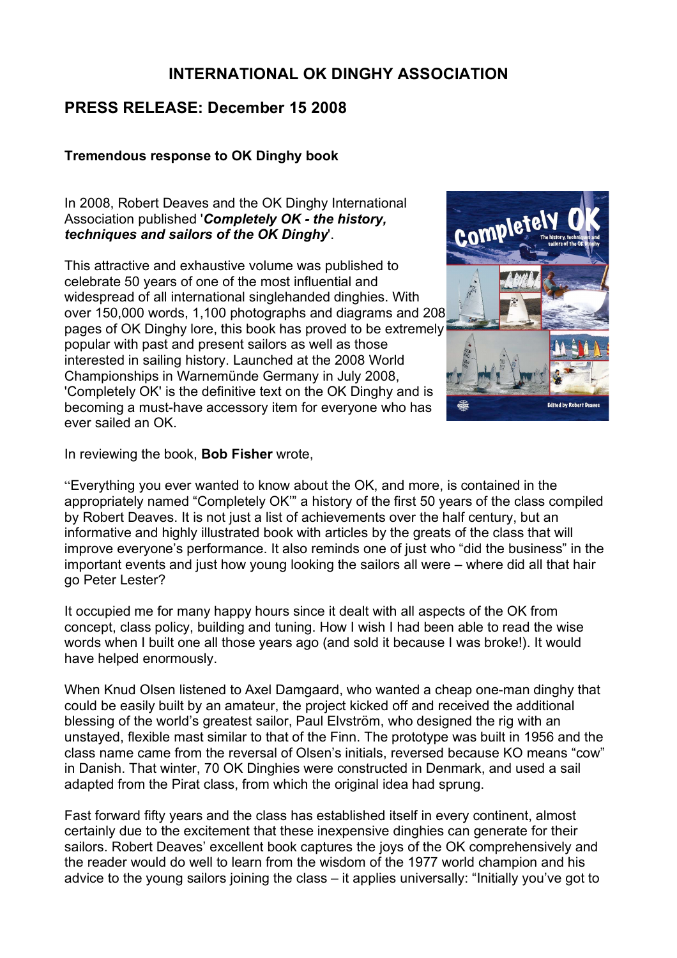# **INTERNATIONAL OK DINGHY ASSOCIATION**

# **PRESS RELEASE: December 15 2008**

#### **Tremendous response to OK Dinghy book**

In 2008, Robert Deaves and the OK Dinghy International Association published '*Completely OK - the history, techniques and sailors of the OK Dinghy*'.

This attractive and exhaustive volume was published to celebrate 50 years of one of the most influential and widespread of all international singlehanded dinghies. With over 150,000 words, 1,100 photographs and diagrams and 208 pages of OK Dinghy lore, this book has proved to be extremely popular with past and present sailors as well as those interested in sailing history. Launched at the 2008 World Championships in Warnemünde Germany in July 2008, 'Completely OK' is the definitive text on the OK Dinghy and is becoming a must-have accessory item for everyone who has ever sailed an OK.



In reviewing the book, **Bob Fisher** wrote,

"Everything you ever wanted to know about the OK, and more, is contained in the appropriately named "Completely OK'" a history of the first 50 years of the class compiled by Robert Deaves. It is not just a list of achievements over the half century, but an informative and highly illustrated book with articles by the greats of the class that will improve everyone's performance. It also reminds one of just who "did the business" in the important events and just how young looking the sailors all were – where did all that hair go Peter Lester?

It occupied me for many happy hours since it dealt with all aspects of the OK from concept, class policy, building and tuning. How I wish I had been able to read the wise words when I built one all those years ago (and sold it because I was broke!). It would have helped enormously.

When Knud Olsen listened to Axel Damgaard, who wanted a cheap one-man dinghy that could be easily built by an amateur, the project kicked off and received the additional blessing of the world's greatest sailor, Paul Elvström, who designed the rig with an unstayed, flexible mast similar to that of the Finn. The prototype was built in 1956 and the class name came from the reversal of Olsen's initials, reversed because KO means "cow" in Danish. That winter, 70 OK Dinghies were constructed in Denmark, and used a sail adapted from the Pirat class, from which the original idea had sprung.

Fast forward fifty years and the class has established itself in every continent, almost certainly due to the excitement that these inexpensive dinghies can generate for their sailors. Robert Deaves' excellent book captures the joys of the OK comprehensively and the reader would do well to learn from the wisdom of the 1977 world champion and his advice to the young sailors joining the class – it applies universally: "Initially you've got to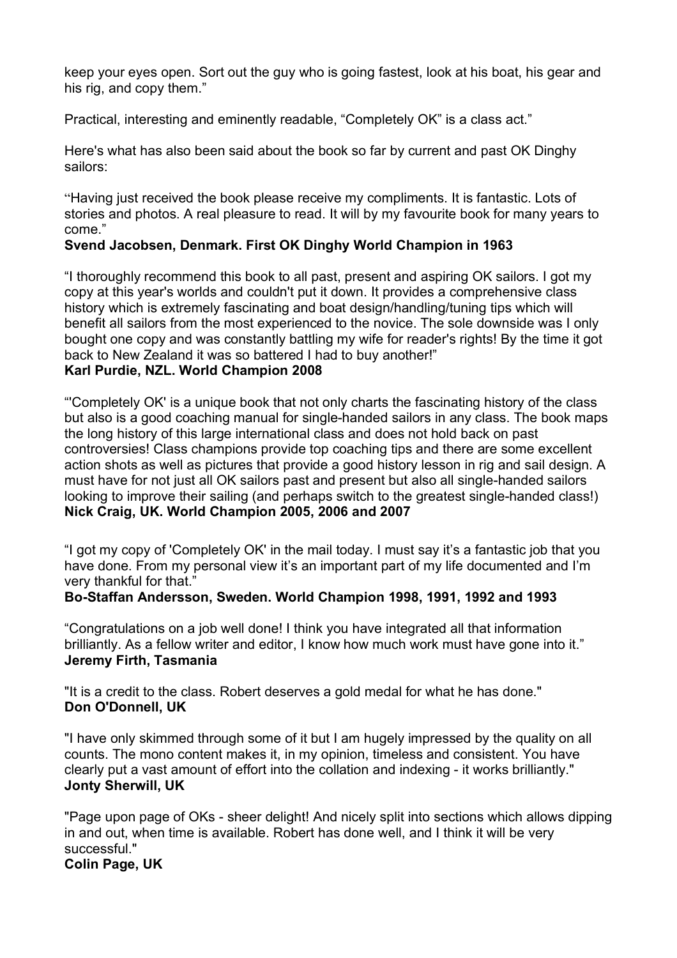keep your eyes open. Sort out the guy who is going fastest, look at his boat, his gear and his rig, and copy them."

Practical, interesting and eminently readable, "Completely OK" is a class act."

Here's what has also been said about the book so far by current and past OK Dinghy sailors:

"Having just received the book please receive my compliments. It is fantastic. Lots of stories and photos. A real pleasure to read. It will by my favourite book for many years to come."

## **Svend Jacobsen, Denmark. First OK Dinghy World Champion in 1963**

"I thoroughly recommend this book to all past, present and aspiring OK sailors. I got my copy at this year's worlds and couldn't put it down. It provides a comprehensive class history which is extremely fascinating and boat design/handling/tuning tips which will benefit all sailors from the most experienced to the novice. The sole downside was I only bought one copy and was constantly battling my wife for reader's rights! By the time it got back to New Zealand it was so battered I had to buy another!"

## **Karl Purdie, NZL. World Champion 2008**

"'Completely OK' is a unique book that not only charts the fascinating history of the class but also is a good coaching manual for single-handed sailors in any class. The book maps the long history of this large international class and does not hold back on past controversies! Class champions provide top coaching tips and there are some excellent action shots as well as pictures that provide a good history lesson in rig and sail design. A must have for not just all OK sailors past and present but also all single-handed sailors looking to improve their sailing (and perhaps switch to the greatest single-handed class!) **Nick Craig, UK. World Champion 2005, 2006 and 2007**

"I got my copy of 'Completely OK' in the mail today. I must say it's a fantastic job that you have done. From my personal view it's an important part of my life documented and I'm very thankful for that."

## **Bo-Staffan Andersson, Sweden. World Champion 1998, 1991, 1992 and 1993**

"Congratulations on a job well done! I think you have integrated all that information brilliantly. As a fellow writer and editor, I know how much work must have gone into it." **Jeremy Firth, Tasmania**

"It is a credit to the class. Robert deserves a gold medal for what he has done." **Don O'Donnell, UK**

"I have only skimmed through some of it but I am hugely impressed by the quality on all counts. The mono content makes it, in my opinion, timeless and consistent. You have clearly put a vast amount of effort into the collation and indexing - it works brilliantly." **Jonty Sherwill, UK**

"Page upon page of OKs - sheer delight! And nicely split into sections which allows dipping in and out, when time is available. Robert has done well, and I think it will be very successful."

**Colin Page, UK**